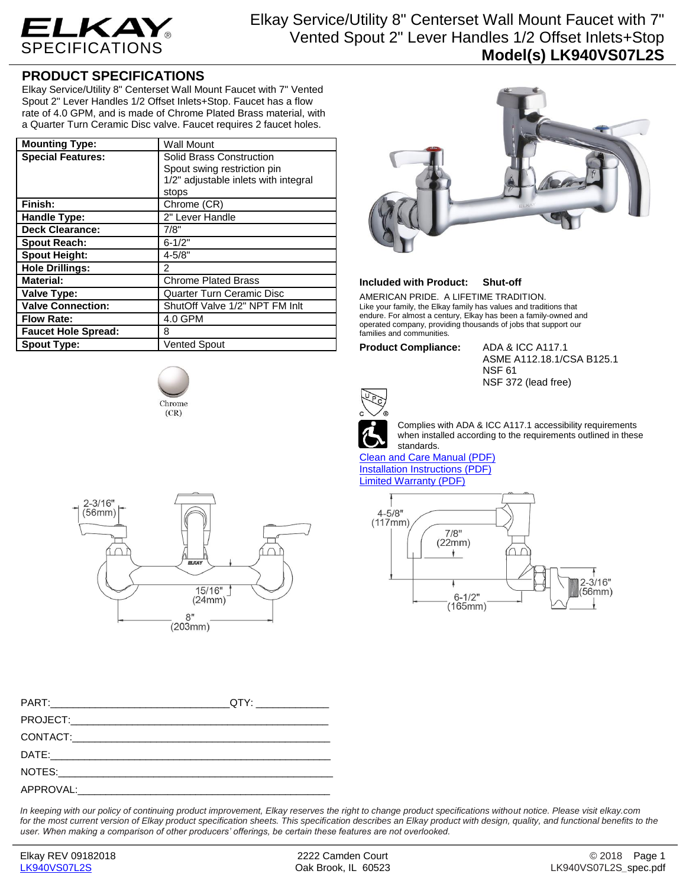

## Elkay Service/Utility 8" Centerset Wall Mount Faucet with 7" Vented Spout 2" Lever Handles 1/2 Offset Inlets+Stop **Model(s) LK940VS07L2S**

### **PRODUCT SPECIFICATIONS**

Elkay Service/Utility 8" Centerset Wall Mount Faucet with 7" Vented Spout 2" Lever Handles 1/2 Offset Inlets+Stop. Faucet has a flow rate of 4.0 GPM, and is made of Chrome Plated Brass material, with a Quarter Turn Ceramic Disc valve. Faucet requires 2 faucet holes.

| <b>Mounting Type:</b>      | <b>Wall Mount</b>                    |
|----------------------------|--------------------------------------|
| <b>Special Features:</b>   | Solid Brass Construction             |
|                            | Spout swing restriction pin          |
|                            | 1/2" adjustable inlets with integral |
|                            | stops                                |
| Finish:                    | Chrome (CR)                          |
| <b>Handle Type:</b>        | 2" Lever Handle                      |
| <b>Deck Clearance:</b>     | 7/8"                                 |
| <b>Spout Reach:</b>        | $6 - 1/2"$                           |
| <b>Spout Height:</b>       | $4 - 5/8"$                           |
| <b>Hole Drillings:</b>     | $\overline{2}$                       |
| <b>Material:</b>           | <b>Chrome Plated Brass</b>           |
| Valve Type:                | Quarter Turn Ceramic Disc            |
| <b>Valve Connection:</b>   | ShutOff Valve 1/2" NPT FM Inlt       |
| <b>Flow Rate:</b>          | 4.0 GPM                              |
| <b>Faucet Hole Spread:</b> | 8                                    |
| <b>Spout Type:</b>         | <b>Vented Spout</b>                  |





| ELKAY |
|-------|
|-------|

### **Included with Product: Shut-off**

AMERICAN PRIDE. A LIFETIME TRADITION. Like your family, the Elkay family has values and traditions that endure. For almost a century, Elkay has been a family-owned and operated company, providing thousands of jobs that support our families and communities.

#### **Product Compliance:** ADA & ICC A117.1

ASME A112.18.1/CSA B125.1 NSF 61 NSF 372 (lead free)



Complies with ADA & ICC A117.1 accessibility requirements when installed according to the requirements outlined in these standards.

[Clean and Care Manual \(PDF\)](http://www.elkay.com/wcsstore/lkdocs/care-cleaning-install-warranty-sheets/residential%20and%20commercial%20care%20%20cleaning.pdf) [Installation Instructions \(PDF\)](http://www.elkay.com/wcsstore/lkdocs/care-cleaning-install-warranty-sheets/a55483.pdf) [Limited Warranty](http://www.elkay.com/wcsstore/lkdocs/care-cleaning-install-warranty-sheets/commercial%20sinks%20and%20faucets%20warranty.pdf) (PDF)



| PART: QTY: |  |
|------------|--|
|            |  |
|            |  |
|            |  |
|            |  |
|            |  |

*In keeping with our policy of continuing product improvement, Elkay reserves the right to change product specifications without notice. Please visit elkay.com for the most current version of Elkay product specification sheets. This specification describes an Elkay product with design, quality, and functional benefits to the user. When making a comparison of other producers' offerings, be certain these features are not overlooked.*